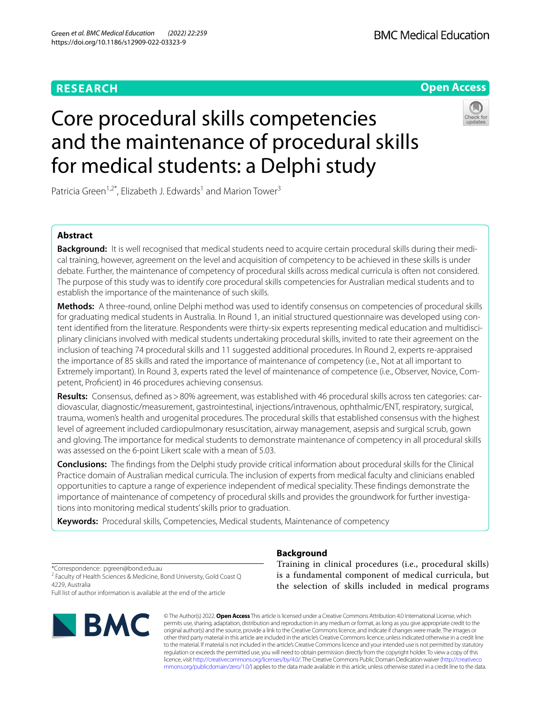# **RESEARCH**



# Core procedural skills competencies and the maintenance of procedural skills for medical students: a Delphi study



Patricia Green<sup>1,2\*</sup>, Elizabeth J. Edwards<sup>1</sup> and Marion Tower<sup>3</sup>

# **Abstract**

**Background:** It is well recognised that medical students need to acquire certain procedural skills during their medical training, however, agreement on the level and acquisition of competency to be achieved in these skills is under debate. Further, the maintenance of competency of procedural skills across medical curricula is often not considered. The purpose of this study was to identify core procedural skills competencies for Australian medical students and to establish the importance of the maintenance of such skills.

**Methods:** A three-round, online Delphi method was used to identify consensus on competencies of procedural skills for graduating medical students in Australia. In Round 1, an initial structured questionnaire was developed using content identifed from the literature. Respondents were thirty-six experts representing medical education and multidisciplinary clinicians involved with medical students undertaking procedural skills, invited to rate their agreement on the inclusion of teaching 74 procedural skills and 11 suggested additional procedures. In Round 2, experts re-appraised the importance of 85 skills and rated the importance of maintenance of competency (i.e., Not at all important to Extremely important). In Round 3, experts rated the level of maintenance of competence (i.e., Observer, Novice, Competent, Profcient) in 46 procedures achieving consensus.

**Results:** Consensus, defned as>80% agreement, was established with 46 procedural skills across ten categories: cardiovascular, diagnostic/measurement, gastrointestinal, injections/intravenous, ophthalmic/ENT, respiratory, surgical, trauma, women's health and urogenital procedures. The procedural skills that established consensus with the highest level of agreement included cardiopulmonary resuscitation, airway management, asepsis and surgical scrub, gown and gloving. The importance for medical students to demonstrate maintenance of competency in all procedural skills was assessed on the 6-point Likert scale with a mean of 5.03.

**Conclusions:** The fndings from the Delphi study provide critical information about procedural skills for the Clinical Practice domain of Australian medical curricula. The inclusion of experts from medical faculty and clinicians enabled opportunities to capture a range of experience independent of medical speciality. These fndings demonstrate the importance of maintenance of competency of procedural skills and provides the groundwork for further investigations into monitoring medical students' skills prior to graduation.

**Keywords:** Procedural skills, Competencies, Medical students, Maintenance of competency

\*Correspondence: pgreen@bond.edu.au

<sup>2</sup> Faculty of Health Sciences & Medicine, Bond University, Gold Coast Q 4229, Australia

Full list of author information is available at the end of the article



**Background**

Training in clinical procedures (i.e., procedural skills) is a fundamental component of medical curricula, but the selection of skills included in medical programs

© The Author(s) 2022. **Open Access** This article is licensed under a Creative Commons Attribution 4.0 International License, which permits use, sharing, adaptation, distribution and reproduction in any medium or format, as long as you give appropriate credit to the original author(s) and the source, provide a link to the Creative Commons licence, and indicate if changes were made. The images or other third party material in this article are included in the article's Creative Commons licence, unless indicated otherwise in a credit line to the material. If material is not included in the article's Creative Commons licence and your intended use is not permitted by statutory regulation or exceeds the permitted use, you will need to obtain permission directly from the copyright holder. To view a copy of this licence, visit [http://creativecommons.org/licenses/by/4.0/.](http://creativecommons.org/licenses/by/4.0/) The Creative Commons Public Domain Dedication waiver ([http://creativeco](http://creativecommons.org/publicdomain/zero/1.0/) [mmons.org/publicdomain/zero/1.0/](http://creativecommons.org/publicdomain/zero/1.0/)) applies to the data made available in this article, unless otherwise stated in a credit line to the data.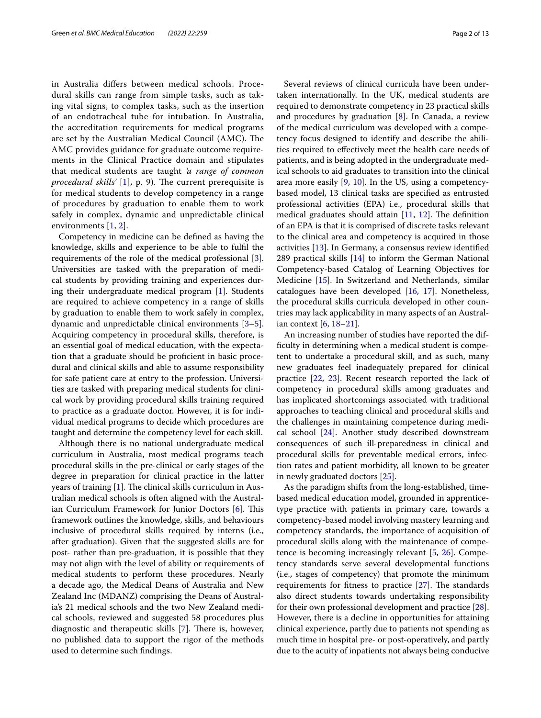in Australia difers between medical schools. Procedural skills can range from simple tasks, such as taking vital signs, to complex tasks, such as the insertion of an endotracheal tube for intubation. In Australia, the accreditation requirements for medical programs are set by the Australian Medical Council (AMC). The AMC provides guidance for graduate outcome requirements in the Clinical Practice domain and stipulates that medical students are taught *'a range of common procedural skills'* [[1](#page-11-0)], p. 9). The current prerequisite is for medical students to develop competency in a range of procedures by graduation to enable them to work safely in complex, dynamic and unpredictable clinical environments [[1,](#page-11-0) [2\]](#page-11-1).

Competency in medicine can be defned as having the knowledge, skills and experience to be able to fulfl the requirements of the role of the medical professional [\[3](#page-11-2)]. Universities are tasked with the preparation of medical students by providing training and experiences during their undergraduate medical program [\[1](#page-11-0)]. Students are required to achieve competency in a range of skills by graduation to enable them to work safely in complex, dynamic and unpredictable clinical environments [\[3](#page-11-2)[–5](#page-11-3)]. Acquiring competency in procedural skills, therefore, is an essential goal of medical education, with the expectation that a graduate should be profcient in basic procedural and clinical skills and able to assume responsibility for safe patient care at entry to the profession. Universities are tasked with preparing medical students for clinical work by providing procedural skills training required to practice as a graduate doctor. However, it is for individual medical programs to decide which procedures are taught and determine the competency level for each skill.

Although there is no national undergraduate medical curriculum in Australia, most medical programs teach procedural skills in the pre-clinical or early stages of the degree in preparation for clinical practice in the latter years of training  $[1]$  $[1]$ . The clinical skills curriculum in Australian medical schools is often aligned with the Austral-ian Curriculum Framework for Junior Doctors [\[6](#page-11-4)]. This framework outlines the knowledge, skills, and behaviours inclusive of procedural skills required by interns (i.e., after graduation). Given that the suggested skills are for post- rather than pre-graduation, it is possible that they may not align with the level of ability or requirements of medical students to perform these procedures. Nearly a decade ago, the Medical Deans of Australia and New Zealand Inc (MDANZ) comprising the Deans of Australia's 21 medical schools and the two New Zealand medical schools, reviewed and suggested 58 procedures plus diagnostic and therapeutic skills  $[7]$  $[7]$ . There is, however, no published data to support the rigor of the methods used to determine such fndings.

Several reviews of clinical curricula have been undertaken internationally. In the UK, medical students are required to demonstrate competency in 23 practical skills and procedures by graduation [[8\]](#page-11-6). In Canada, a review of the medical curriculum was developed with a competency focus designed to identify and describe the abilities required to efectively meet the health care needs of patients, and is being adopted in the undergraduate medical schools to aid graduates to transition into the clinical area more easily [\[9](#page-11-7), [10](#page-11-8)]. In the US, using a competencybased model, 13 clinical tasks are specifed as entrusted professional activities (EPA) i.e., procedural skills that medical graduates should attain  $[11, 12]$  $[11, 12]$  $[11, 12]$ . The definition of an EPA is that it is comprised of discrete tasks relevant to the clinical area and competency is acquired in those activities [[13\]](#page-11-11). In Germany, a consensus review identifed 289 practical skills  $[14]$  to inform the German National Competency-based Catalog of Learning Objectives for Medicine [\[15](#page-11-13)]. In Switzerland and Netherlands, similar catalogues have been developed [\[16](#page-11-14), [17\]](#page-11-15). Nonetheless, the procedural skills curricula developed in other countries may lack applicability in many aspects of an Australian context [[6](#page-11-4), [18–](#page-11-16)[21\]](#page-11-17).

An increasing number of studies have reported the diffculty in determining when a medical student is competent to undertake a procedural skill, and as such, many new graduates feel inadequately prepared for clinical practice [[22,](#page-11-18) [23](#page-11-19)]. Recent research reported the lack of competency in procedural skills among graduates and has implicated shortcomings associated with traditional approaches to teaching clinical and procedural skills and the challenges in maintaining competence during medical school [\[24\]](#page-11-20). Another study described downstream consequences of such ill-preparedness in clinical and procedural skills for preventable medical errors, infection rates and patient morbidity, all known to be greater in newly graduated doctors [\[25](#page-11-21)].

As the paradigm shifts from the long-established, timebased medical education model, grounded in apprenticetype practice with patients in primary care, towards a competency-based model involving mastery learning and competency standards, the importance of acquisition of procedural skills along with the maintenance of competence is becoming increasingly relevant [[5,](#page-11-3) [26](#page-11-22)]. Competency standards serve several developmental functions (i.e., stages of competency) that promote the minimum requirements for fitness to practice  $[27]$  $[27]$ . The standards also direct students towards undertaking responsibility for their own professional development and practice [\[28](#page-11-24)]. However, there is a decline in opportunities for attaining clinical experience, partly due to patients not spending as much time in hospital pre- or post-operatively, and partly due to the acuity of inpatients not always being conducive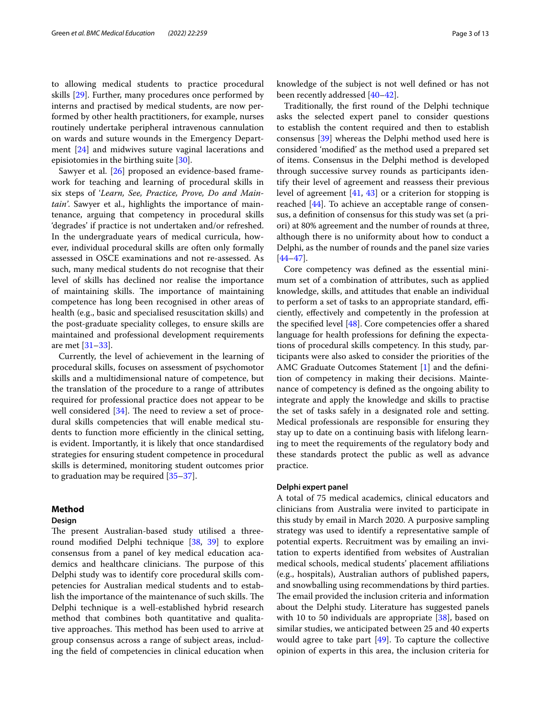to allowing medical students to practice procedural skills [\[29](#page-11-25)]. Further, many procedures once performed by interns and practised by medical students, are now performed by other health practitioners, for example, nurses routinely undertake peripheral intravenous cannulation on wards and suture wounds in the Emergency Department [\[24](#page-11-20)] and midwives suture vaginal lacerations and episiotomies in the birthing suite [[30](#page-11-26)].

Sawyer et al. [[26](#page-11-22)] proposed an evidence-based framework for teaching and learning of procedural skills in six steps of '*Learn, See, Practice, Prove, Do and Maintain'*. Sawyer et al., highlights the importance of maintenance, arguing that competency in procedural skills 'degrades' if practice is not undertaken and/or refreshed. In the undergraduate years of medical curricula, however, individual procedural skills are often only formally assessed in OSCE examinations and not re-assessed. As such, many medical students do not recognise that their level of skills has declined nor realise the importance of maintaining skills. The importance of maintaining competence has long been recognised in other areas of health (e.g., basic and specialised resuscitation skills) and the post-graduate speciality colleges, to ensure skills are maintained and professional development requirements are met [\[31–](#page-11-27)[33\]](#page-11-28).

Currently, the level of achievement in the learning of procedural skills, focuses on assessment of psychomotor skills and a multidimensional nature of competence, but the translation of the procedure to a range of attributes required for professional practice does not appear to be well considered  $[34]$  $[34]$  $[34]$ . The need to review a set of procedural skills competencies that will enable medical students to function more efficiently in the clinical setting, is evident. Importantly, it is likely that once standardised strategies for ensuring student competence in procedural skills is determined, monitoring student outcomes prior to graduation may be required [\[35–](#page-11-30)[37\]](#page-11-31).

# **Method**

# **Design**

The present Australian-based study utilised a threeround modifed Delphi technique [[38,](#page-12-0) [39](#page-12-1)] to explore consensus from a panel of key medical education academics and healthcare clinicians. The purpose of this Delphi study was to identify core procedural skills competencies for Australian medical students and to establish the importance of the maintenance of such skills. The Delphi technique is a well-established hybrid research method that combines both quantitative and qualitative approaches. This method has been used to arrive at group consensus across a range of subject areas, including the feld of competencies in clinical education when knowledge of the subject is not well defned or has not

Traditionally, the frst round of the Delphi technique asks the selected expert panel to consider questions to establish the content required and then to establish consensus [[39\]](#page-12-1) whereas the Delphi method used here is considered 'modifed' as the method used a prepared set of items. Consensus in the Delphi method is developed through successive survey rounds as participants identify their level of agreement and reassess their previous level of agreement [[41,](#page-12-4) [43](#page-12-5)] or a criterion for stopping is reached [\[44](#page-12-6)]. To achieve an acceptable range of consensus, a defnition of consensus for this study was set (a priori) at 80% agreement and the number of rounds at three, although there is no uniformity about how to conduct a Delphi, as the number of rounds and the panel size varies [[44–](#page-12-6)[47\]](#page-12-7).

been recently addressed [\[40–](#page-12-2)[42\]](#page-12-3).

Core competency was defned as the essential minimum set of a combination of attributes, such as applied knowledge, skills, and attitudes that enable an individual to perform a set of tasks to an appropriate standard, efficiently, efectively and competently in the profession at the specified level  $[48]$  $[48]$  $[48]$ . Core competencies offer a shared language for health professions for defning the expectations of procedural skills competency. In this study, participants were also asked to consider the priorities of the AMC Graduate Outcomes Statement [[1\]](#page-11-0) and the defnition of competency in making their decisions. Maintenance of competency is defned as the ongoing ability to integrate and apply the knowledge and skills to practise the set of tasks safely in a designated role and setting. Medical professionals are responsible for ensuring they stay up to date on a continuing basis with lifelong learning to meet the requirements of the regulatory body and these standards protect the public as well as advance practice.

#### **Delphi expert panel**

A total of 75 medical academics, clinical educators and clinicians from Australia were invited to participate in this study by email in March 2020. A purposive sampling strategy was used to identify a representative sample of potential experts. Recruitment was by emailing an invitation to experts identifed from websites of Australian medical schools, medical students' placement afliations (e.g., hospitals), Australian authors of published papers, and snowballing using recommendations by third parties. The email provided the inclusion criteria and information about the Delphi study. Literature has suggested panels with 10 to 50 individuals are appropriate [[38](#page-12-0)], based on similar studies, we anticipated between 25 and 40 experts would agree to take part [[49](#page-12-9)]. To capture the collective opinion of experts in this area, the inclusion criteria for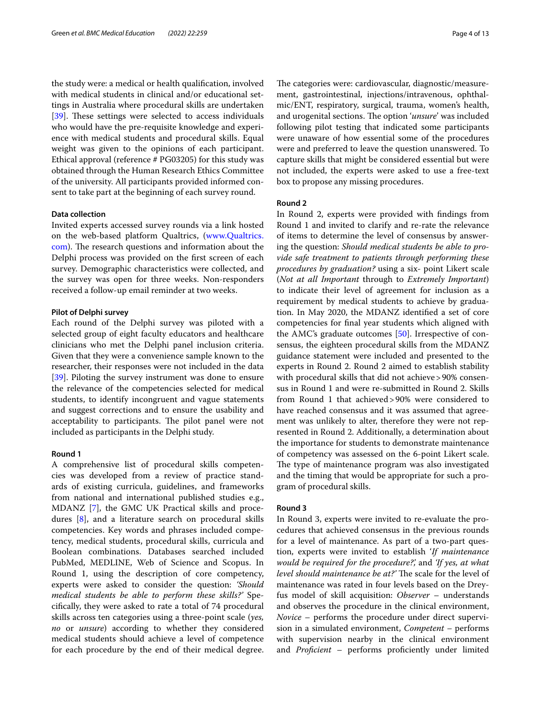the study were: a medical or health qualifcation, involved with medical students in clinical and/or educational settings in Australia where procedural skills are undertaken [[39\]](#page-12-1). These settings were selected to access individuals who would have the pre-requisite knowledge and experience with medical students and procedural skills. Equal weight was given to the opinions of each participant. Ethical approval (reference # PG03205) for this study was obtained through the Human Research Ethics Committee of the university. All participants provided informed consent to take part at the beginning of each survey round.

#### **Data collection**

Invited experts accessed survey rounds via a link hosted on the web-based platform Qualtrics, ([www.Qualtrics.](http://www.Qualtrics.com) [com](http://www.Qualtrics.com)). The research questions and information about the Delphi process was provided on the frst screen of each survey. Demographic characteristics were collected, and the survey was open for three weeks. Non-responders received a follow-up email reminder at two weeks.

#### **Pilot of Delphi survey**

Each round of the Delphi survey was piloted with a selected group of eight faculty educators and healthcare clinicians who met the Delphi panel inclusion criteria. Given that they were a convenience sample known to the researcher, their responses were not included in the data [[39\]](#page-12-1). Piloting the survey instrument was done to ensure the relevance of the competencies selected for medical students, to identify incongruent and vague statements and suggest corrections and to ensure the usability and acceptability to participants. The pilot panel were not included as participants in the Delphi study.

#### **Round 1**

A comprehensive list of procedural skills competencies was developed from a review of practice standards of existing curricula, guidelines, and frameworks from national and international published studies e.g., MDANZ [\[7](#page-11-5)], the GMC UK Practical skills and procedures [\[8](#page-11-6)], and a literature search on procedural skills competencies. Key words and phrases included competency, medical students, procedural skills, curricula and Boolean combinations. Databases searched included PubMed, MEDLINE, Web of Science and Scopus. In Round 1, using the description of core competency, experts were asked to consider the question: *'Should medical students be able to perform these skills?'* Specifcally, they were asked to rate a total of 74 procedural skills across ten categories using a three-point scale (*yes, no* or *unsure*) according to whether they considered medical students should achieve a level of competence for each procedure by the end of their medical degree.

The categories were: cardiovascular, diagnostic/measurement, gastrointestinal, injections/intravenous, ophthalmic/ENT, respiratory, surgical, trauma, women's health, and urogenital sections. The option '*unsure*' was included following pilot testing that indicated some participants were unaware of how essential some of the procedures were and preferred to leave the question unanswered. To capture skills that might be considered essential but were not included, the experts were asked to use a free-text box to propose any missing procedures.

# **Round 2**

In Round 2, experts were provided with fndings from Round 1 and invited to clarify and re-rate the relevance of items to determine the level of consensus by answering the question: *Should medical students be able to provide safe treatment to patients through performing these procedures by graduation?* using a six- point Likert scale (*Not at all Important* through to *Extremely Important*) to indicate their level of agreement for inclusion as a requirement by medical students to achieve by graduation. In May 2020, the MDANZ identifed a set of core competencies for fnal year students which aligned with the AMC's graduate outcomes [\[50](#page-12-10)]. Irrespective of consensus, the eighteen procedural skills from the MDANZ guidance statement were included and presented to the experts in Round 2. Round 2 aimed to establish stability with procedural skills that did not achieve > 90% consensus in Round 1 and were re-submitted in Round 2. Skills from Round 1 that achieved>90% were considered to have reached consensus and it was assumed that agreement was unlikely to alter, therefore they were not represented in Round 2. Additionally, a determination about the importance for students to demonstrate maintenance of competency was assessed on the 6-point Likert scale. The type of maintenance program was also investigated and the timing that would be appropriate for such a program of procedural skills.

#### **Round 3**

In Round 3, experts were invited to re-evaluate the procedures that achieved consensus in the previous rounds for a level of maintenance. As part of a two-part question, experts were invited to establish '*If maintenance would be required for the procedure?',* and *'If yes, at what level should maintenance be at?'* The scale for the level of maintenance was rated in four levels based on the Dreyfus model of skill acquisition: *Observer* – understands and observes the procedure in the clinical environment, *Novice* – performs the procedure under direct supervision in a simulated environment, *Competent –* performs with supervision nearby in the clinical environment and *Profcient*  – performs profciently under limited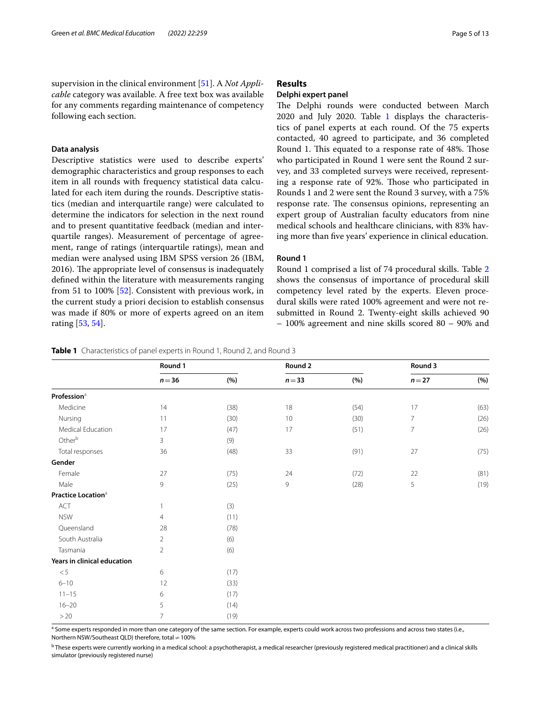supervision in the clinical environment [\[51\]](#page-12-11). A *Not Applicable* category was available. A free text box was available for any comments regarding maintenance of competency following each section.

# **Data analysis**

Descriptive statistics were used to describe experts' demographic characteristics and group responses to each item in all rounds with frequency statistical data calculated for each item during the rounds. Descriptive statistics (median and interquartile range) were calculated to determine the indicators for selection in the next round and to present quantitative feedback (median and interquartile ranges). Measurement of percentage of agreement, range of ratings (interquartile ratings), mean and median were analysed using IBM SPSS version 26 (IBM, 2016). The appropriate level of consensus is inadequately defned within the literature with measurements ranging from 51 to 100% [[52\]](#page-12-12). Consistent with previous work, in the current study a priori decision to establish consensus was made if 80% or more of experts agreed on an item rating [\[53](#page-12-13), [54\]](#page-12-14).

# **Results**

# **Delphi expert panel**

The Delphi rounds were conducted between March 2020 and July 2020. Table [1](#page-4-0) displays the characteristics of panel experts at each round. Of the 75 experts contacted, 40 agreed to participate, and 36 completed Round 1. This equated to a response rate of 48%. Those who participated in Round 1 were sent the Round 2 survey, and 33 completed surveys were received, representing a response rate of 92%. Those who participated in Rounds 1 and 2 were sent the Round 3 survey, with a 75% response rate. The consensus opinions, representing an expert group of Australian faculty educators from nine medical schools and healthcare clinicians, with 83% having more than fve years' experience in clinical education.

# **Round 1**

Round 1 comprised a list of 74 procedural skills. Table [2](#page-5-0) shows the consensus of importance of procedural skill competency level rated by the experts. Eleven procedural skills were rated 100% agreement and were not resubmitted in Round 2. Twenty-eight skills achieved 90 – 100% agreement and nine skills scored 80 – 90% and

<span id="page-4-0"></span>**Table 1** Characteristics of panel experts in Round 1, Round 2, and Round 3

|                                | Round 1        |      | Round 2  |      |                | Round 3 |  |
|--------------------------------|----------------|------|----------|------|----------------|---------|--|
|                                | $n = 36$       | (%)  | $n = 33$ | (%)  | $n=27$         | (%)     |  |
| Profession <sup>a</sup>        |                |      |          |      |                |         |  |
| Medicine                       | 14             | (38) | 18       | (54) | 17             | (63)    |  |
| Nursing                        | 11             | (30) | 10       | (30) | $\overline{7}$ | (26)    |  |
| Medical Education              | 17             | (47) | 17       | (51) | 7              | (26)    |  |
| Otherb                         | 3              | (9)  |          |      |                |         |  |
| Total responses                | 36             | (48) | 33       | (91) | 27             | (75)    |  |
| Gender                         |                |      |          |      |                |         |  |
| Female                         | 27             | (75) | 24       | (72) | 22             | (81)    |  |
| Male                           | 9              | (25) | 9        | (28) | 5              | (19)    |  |
| Practice Location <sup>a</sup> |                |      |          |      |                |         |  |
| ACT                            |                | (3)  |          |      |                |         |  |
| <b>NSW</b>                     | 4              | (11) |          |      |                |         |  |
| Queensland                     | 28             | (78) |          |      |                |         |  |
| South Australia                | $\overline{2}$ | (6)  |          |      |                |         |  |
| Tasmania                       | $\overline{2}$ | (6)  |          |      |                |         |  |
| Years in clinical education    |                |      |          |      |                |         |  |
| < 5                            | 6              | (17) |          |      |                |         |  |
| $6 - 10$                       | 12             | (33) |          |      |                |         |  |
| $11 - 15$                      | 6              | (17) |          |      |                |         |  |
| $16 - 20$                      | 5              | (14) |          |      |                |         |  |
| $>20$                          | $\overline{7}$ | (19) |          |      |                |         |  |

<sup>a</sup> Some experts responded in more than one category of the same section. For example, experts could work across two professions and across two states (i.e., Northern NSW/Southeast QLD) therefore, total ≠100%

<sup>b</sup> These experts were currently working in a medical school: a psychotherapist, a medical researcher (previously registered medical practitioner) and a clinical skills simulator (previously registered nurse)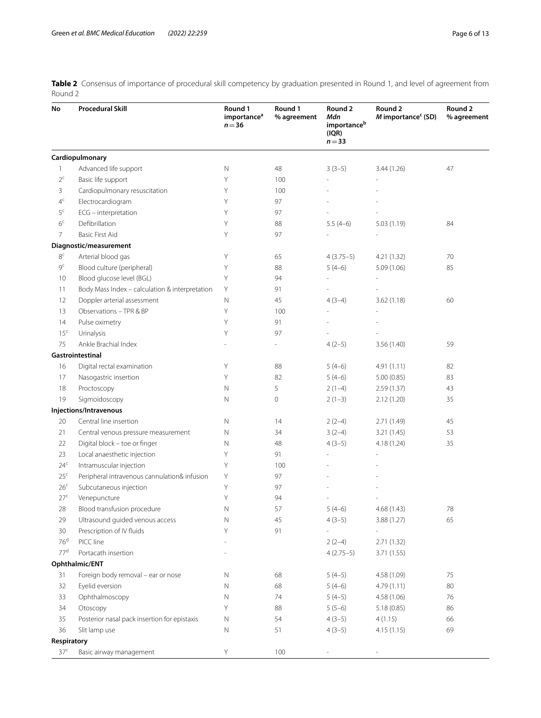<span id="page-5-0"></span>**Table 2** Consensus of importance of procedural skill competency by graduation presented in Round 1, and level of agreement from Round 2

| No              | <b>Procedural Skill</b>                        | Round 1<br>importance <sup>a</sup><br>$n = 36$ | Round 1<br>% agreement | Round 2<br>Mdn<br>importanceb<br>(IQR)<br>$n = 33$ | Round 2<br>M importance <sup>c</sup> (SD) | Round 2<br>% agreement |
|-----------------|------------------------------------------------|------------------------------------------------|------------------------|----------------------------------------------------|-------------------------------------------|------------------------|
|                 | Cardiopulmonary                                |                                                |                        |                                                    |                                           |                        |
| 1               | Advanced life support                          | $\mathbb N$                                    | 48                     | $3(3-5)$                                           | 3.44 (1.26)                               | 47                     |
| $2^c$           | Basic life support                             | Y                                              | 100                    |                                                    |                                           |                        |
| 3               | Cardiopulmonary resuscitation                  | Υ                                              | 100                    |                                                    |                                           |                        |
| 4 <sup>c</sup>  | Electrocardiogram                              | Y                                              | 97                     |                                                    |                                           |                        |
| $5^{\circ}$     | ECG - interpretation                           | Y                                              | 97                     |                                                    |                                           |                        |
| 6 <sup>c</sup>  | Defibrillation                                 | Y                                              | 88                     | $5.5(4-6)$                                         | 5.03(1.19)                                | 84                     |
| $\overline{7}$  | Basic First Aid                                | Y                                              | 97                     |                                                    |                                           |                        |
|                 | Diagnostic/measurement                         |                                                |                        |                                                    |                                           |                        |
| $8^{\rm c}$     | Arterial blood gas                             | Υ                                              | 65                     | $4(3.75-5)$                                        | 4.21 (1.32)                               | 70                     |
| 9 <sup>c</sup>  | Blood culture (peripheral)                     | Υ                                              | 88                     | $5(4-6)$                                           | 5.09(1.06)                                | 85                     |
| 10              | Blood glucose level (BGL)                      | Y                                              | 94                     |                                                    |                                           |                        |
| 11              | Body Mass Index - calculation & interpretation | Υ                                              | 91                     |                                                    |                                           |                        |
| 12              | Doppler arterial assessment                    | $\mathbb N$                                    | 45                     | $4(3-4)$                                           | 3.62(1.18)                                | 60                     |
| 13              | Observations - TPR & BP                        | Υ                                              | 100                    |                                                    |                                           |                        |
| 14              | Pulse oximetry                                 | Υ                                              | 91                     |                                                    |                                           |                        |
| 15 <sup>c</sup> | Urinalysis                                     | Υ                                              | 97                     |                                                    |                                           |                        |
| 75              | Ankle Brachial Index                           |                                                |                        | $4(2-5)$                                           | 3.56 (1.40)                               | 59                     |
|                 | Gastrointestinal                               |                                                |                        |                                                    |                                           |                        |
| 16              | Digital rectal examination                     | Υ                                              | 88                     | $5(4-6)$                                           | 4.91(1.11)                                | 82                     |
| 17              | Nasogastric insertion                          | Y                                              | 82                     | $5(4-6)$                                           | 5.00(0.85)                                | 83                     |
| 18              | Proctoscopy                                    | N                                              | 5                      | $2(1-4)$                                           | 2.59(1.37)                                | 43                     |
| 19              | Sigmoidoscopy                                  | N                                              | $\mathbf 0$            | $2(1-3)$                                           | 2.12(1.20)                                | 35                     |
|                 | Injections/Intravenous                         |                                                |                        |                                                    |                                           |                        |
| 20              | Central line insertion                         | N                                              | 14                     | $2(2-4)$                                           | 2.71 (1.49)                               | 45                     |
| 21              | Central venous pressure measurement            | N                                              | 34                     | $3(2-4)$                                           | 3.21 (1.45)                               | 53                     |
| 22              | Digital block - toe or finger                  | N                                              | 48                     | $4(3-5)$                                           | 4.18 (1.24)                               | 35                     |
| 23              | Local anaesthetic injection                    | Y                                              | 91                     |                                                    |                                           |                        |
| 24 <sup>c</sup> | Intramuscular injection                        | Y                                              | 100                    |                                                    |                                           |                        |
| 25 <sup>c</sup> | Peripheral intravenous cannulation& infusion   | Υ                                              | 97                     |                                                    |                                           |                        |
| 26 <sup>c</sup> | Subcutaneous injection                         | Υ                                              | 97                     |                                                    |                                           |                        |
| 27 <sup>c</sup> | Venepuncture                                   | Υ                                              | 94                     |                                                    |                                           |                        |
| 28              | Blood transfusion procedure                    | N                                              | 57                     | 5 (4–6)                                            | 4.68 (1.43)                               | 78                     |
| 29              | Ultrasound guided venous access                | Ν                                              | 45                     | $4(3-5)$                                           | 3.88 (1.27)                               | 65                     |
| 30              | Prescription of IV fluids                      | Υ                                              | 91                     |                                                    |                                           |                        |
| 76 <sup>d</sup> | PICC line                                      |                                                |                        | $2(2-4)$                                           | 2.71(1.32)                                |                        |
| 77 <sup>d</sup> | Portacath insertion                            |                                                |                        | $4(2.75-5)$                                        | 3.71 (1.55)                               |                        |
|                 | Ophthalmic/ENT                                 |                                                |                        |                                                    |                                           |                        |
| 31              | Foreign body removal - ear or nose             | Ν                                              | 68                     | $5(4-5)$                                           | 4.58 (1.09)                               | 75                     |
| 32              | Eyelid eversion                                | Ν                                              | 68                     | $5(4-6)$                                           | 4.79 (1.11)                               | 80                     |
| 33              | Ophthalmoscopy                                 | Ν                                              | 74                     | $5(4-5)$                                           | 4.58 (1.06)                               | 76                     |
| 34              | Otoscopy                                       | Υ                                              | 88                     | $5(5-6)$                                           | 5.18(0.85)                                | 86                     |
| 35              | Posterior nasal pack insertion for epistaxis   | Ν                                              | 54                     | $4(3-5)$                                           | 4(1.15)                                   | 66                     |
| 36              | Slit lamp use                                  | Ν                                              | 51                     | $4(3-5)$                                           | 4.15(1.15)                                | 69                     |
| Respiratory     |                                                |                                                |                        |                                                    |                                           |                        |
| 37 <sup>c</sup> | Basic airway management                        | Y                                              | 100                    |                                                    |                                           |                        |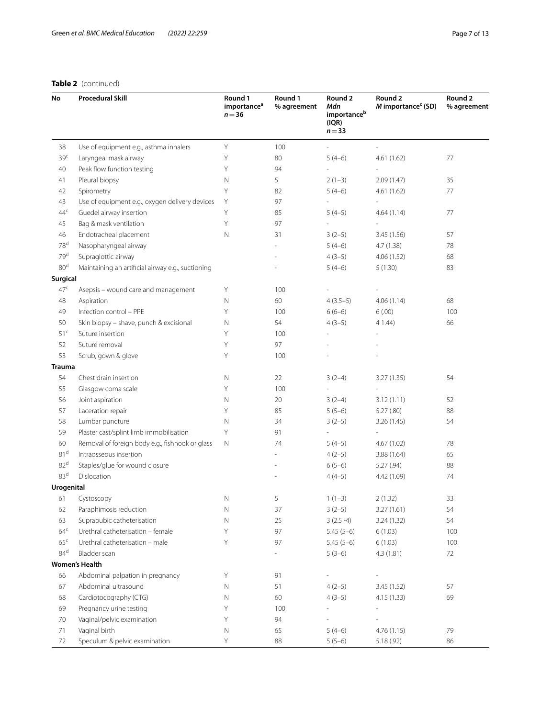# **Table 2** (continued)

| No              | <b>Procedural Skill</b>                           | Round 1<br>importance <sup>a</sup><br>$n = 36$ | Round 1<br>% agreement | Round 2<br>Mdn<br>importanceb<br>(IQR)<br>$n = 33$ | Round 2<br>M importance <sup>c</sup> (SD) | Round 2<br>% agreement |
|-----------------|---------------------------------------------------|------------------------------------------------|------------------------|----------------------------------------------------|-------------------------------------------|------------------------|
| 38              | Use of equipment e.g., asthma inhalers            | Υ                                              | 100                    |                                                    |                                           |                        |
| 39 <sup>c</sup> | Laryngeal mask airway                             | Υ                                              | 80                     | $5(4-6)$                                           | 4.61(1.62)                                | 77                     |
| 40              | Peak flow function testing                        | Υ                                              | 94                     |                                                    |                                           |                        |
| 41              | Pleural biopsy                                    | N                                              | 5                      | $2(1-3)$                                           | 2.09(1.47)                                | 35                     |
| 42              | Spirometry                                        | Y                                              | 82                     | $5(4-6)$                                           | 4.61(1.62)                                | 77                     |
| 43              | Use of equipment e.g., oxygen delivery devices    | Y                                              | 97                     |                                                    |                                           |                        |
| 44 <sup>c</sup> | Guedel airway insertion                           | Υ                                              | 85                     | $5(4-5)$                                           | 4.64(1.14)                                | 77                     |
| 45              | Bag & mask ventilation                            | Υ                                              | 97                     | ÷,                                                 |                                           |                        |
| 46              | Endotracheal placement                            | N                                              | 31                     | $3(2-5)$                                           | 3.45 (1.56)                               | 57                     |
| 78 <sup>d</sup> | Nasopharyngeal airway                             |                                                |                        | $5(4-6)$                                           | 4.7(1.38)                                 | 78                     |
| 79 <sup>d</sup> | Supraglottic airway                               |                                                |                        | $4(3-5)$                                           | 4.06(1.52)                                | 68                     |
| 80 <sup>d</sup> | Maintaining an artificial airway e.g., suctioning |                                                |                        | $5(4-6)$                                           | 5(1.30)                                   | 83                     |
| <b>Surgical</b> |                                                   |                                                |                        |                                                    |                                           |                        |
| 47 <sup>c</sup> | Asepsis - wound care and management               | Υ                                              | 100                    |                                                    |                                           |                        |
| 48              | Aspiration                                        | N                                              | 60                     | $4(3.5-5)$                                         | 4.06(1.14)                                | 68                     |
| 49              | Infection control - PPE                           | Y                                              | 100                    | $6(6-6)$                                           | 6(.00)                                    | 100                    |
| 50              | Skin biopsy - shave, punch & excisional           | N                                              | 54                     | $4(3-5)$                                           | 4 1.44)                                   | 66                     |
| 51 <sup>c</sup> | Suture insertion                                  | Y                                              | 100                    |                                                    |                                           |                        |
| 52              | Suture removal                                    | Y                                              | 97                     |                                                    |                                           |                        |
| 53              | Scrub, gown & glove                               | Y                                              | 100                    |                                                    |                                           |                        |
| <b>Trauma</b>   |                                                   |                                                |                        |                                                    |                                           |                        |
| 54              | Chest drain insertion                             | N                                              | 22                     | $3(2-4)$                                           | 3.27 (1.35)                               | 54                     |
| 55              | Glasgow coma scale                                | Υ                                              | 100                    | $\overline{\phantom{a}}$                           |                                           |                        |
| 56              | Joint aspiration                                  | N                                              | 20                     | $3(2-4)$                                           | 3.12(1.11)                                | 52                     |
| 57              | Laceration repair                                 | Υ                                              | 85                     | $5(5-6)$                                           | 5.27(.80)                                 | 88                     |
| 58              | Lumbar puncture                                   | N                                              | 34                     | $3(2-5)$                                           | 3.26(1.45)                                | 54                     |
| 59              | Plaster cast/splint limb immobilisation           | Υ                                              | 91                     | ÷,                                                 |                                           |                        |
| 60              | Removal of foreign body e.g., fishhook or glass   | $\mathbb N$                                    | 74                     | $5(4-5)$                                           | 4.67 (1.02)                               | 78                     |
| 81 <sup>d</sup> | Intraosseous insertion                            |                                                |                        | $4(2-5)$                                           | 3.88 (1.64)                               | 65                     |
| 82 <sup>d</sup> | Staples/glue for wound closure                    |                                                |                        | $6(5-6)$                                           | 5.27(.94)                                 | 88                     |
| 83 <sup>d</sup> | Dislocation                                       |                                                |                        | $4(4-5)$                                           | 4.42 (1.09)                               | 74                     |
| Urogenital      |                                                   |                                                |                        |                                                    |                                           |                        |
| 61              | Cystoscopy                                        | N                                              | 5                      | $1(1-3)$                                           | 2(1.32)                                   | 33                     |
| 62              | Paraphimosis reduction                            | Ν                                              | 37                     | $3(2-5)$                                           | 3.27(1.61)                                | 54                     |
| 63              | Suprapubic catheterisation                        | $\mathbb N$                                    | 25                     | $3(2.5-4)$                                         | 3.24 (1.32)                               | 54                     |
| 64 <sup>c</sup> | Urethral catheterisation - female                 | Υ                                              | 97                     | $5.45(5-6)$                                        | 6(1.03)                                   | 100                    |
| 65 <sup>c</sup> | Urethral catheterisation - male                   | Υ                                              | 97                     | $5.45(5-6)$                                        | 6(1.03)                                   | 100                    |
| $84^d$          | Bladder scan                                      |                                                |                        | $5(3-6)$                                           | 4.3(1.81)                                 | 72                     |
|                 | <b>Women's Health</b>                             |                                                |                        |                                                    |                                           |                        |
| 66              | Abdominal palpation in pregnancy                  | Υ                                              | 91                     | $\overline{\phantom{a}}$                           | i.                                        |                        |
| 67              | Abdominal ultrasound                              | Ν                                              | 51                     | $4(2-5)$                                           | 3.45 (1.52)                               | 57                     |
| 68              | Cardiotocography (CTG)                            | Ν                                              | 60                     | $4(3-5)$                                           | 4.15 (1.33)                               | 69                     |
| 69              | Pregnancy urine testing                           | Υ                                              | 100                    | $\overline{\phantom{a}}$                           | $\frac{1}{2}$                             |                        |
| 70              | Vaginal/pelvic examination                        | Υ                                              | 94                     | $\overline{\phantom{a}}$                           | $\frac{1}{2}$                             |                        |
| 71              | Vaginal birth                                     | N                                              | 65                     | $5(4-6)$                                           | 4.76(1.15)                                | 79                     |
| 72              | Speculum & pelvic examination                     | Υ                                              | 88                     | $5(5-6)$                                           | 5.18(.92)                                 | 86                     |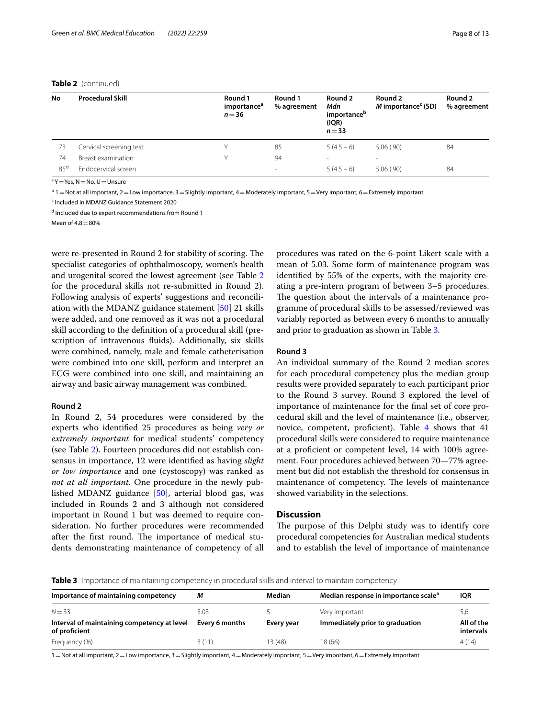# **Table 2** (continued)

| No              | <b>Procedural Skill</b> | Round 1<br>importance <sup>a</sup><br>$n = 36$ | Round 1<br>% agreement | Round 2<br>Mdn<br>importance <sup>b</sup><br>(IQR)<br>$n = 33$ | Round 2<br>$M$ importance <sup>c</sup> (SD) | Round 2<br>% agreement |
|-----------------|-------------------------|------------------------------------------------|------------------------|----------------------------------------------------------------|---------------------------------------------|------------------------|
| 73              | Cervical screening test | v                                              | 85                     | $5(4.5-6)$                                                     | 5.06(.90)                                   | 84                     |
| 74              | Breast examination      | v                                              | 94                     | ۰                                                              | $\overline{\phantom{a}}$                    |                        |
| 85 <sup>d</sup> | Endocervical screen     |                                                | $\sim$                 | $5(4.5-6)$                                                     | 5.06(.90)                                   | 84                     |

<sup>a</sup> Y  $=$  Yes, N  $=$  No, U  $=$  Unsure

 $^{\rm b}$  1  $=$  Not at all important, 2  $=$  Low importance, 3  $=$  Slightly important, 4  $=$  Moderately important, 5  $=$  Very important, 6  $=$  Extremely important

<sup>c</sup> Included in MDANZ Guidance Statement 2020

<sup>d</sup> Included due to expert recommendations from Round 1

 $M$ ean of 4.8 $-80%$ 

were re-presented in Round 2 for stability of scoring. The specialist categories of ophthalmoscopy, women's health and urogenital scored the lowest agreement (see Table [2](#page-5-0) for the procedural skills not re-submitted in Round 2). Following analysis of experts' suggestions and reconciliation with the MDANZ guidance statement [\[50\]](#page-12-10) 21 skills were added, and one removed as it was not a procedural skill according to the defnition of a procedural skill (prescription of intravenous fuids). Additionally, six skills were combined, namely, male and female catheterisation were combined into one skill, perform and interpret an ECG were combined into one skill, and maintaining an airway and basic airway management was combined.

#### **Round 2**

In Round 2, 54 procedures were considered by the experts who identifed 25 procedures as being *very or extremely important* for medical students' competency (see Table [2](#page-5-0)). Fourteen procedures did not establish consensus in importance, 12 were identifed as having *slight or low importance* and one (cystoscopy) was ranked as *not at all important*. One procedure in the newly published MDANZ guidance [\[50](#page-12-10)], arterial blood gas, was included in Rounds 2 and 3 although not considered important in Round 1 but was deemed to require consideration. No further procedures were recommended after the first round. The importance of medical students demonstrating maintenance of competency of all

procedures was rated on the 6-point Likert scale with a mean of 5.03. Some form of maintenance program was identifed by 55% of the experts, with the majority creating a pre-intern program of between 3–5 procedures. The question about the intervals of a maintenance programme of procedural skills to be assessed/reviewed was variably reported as between every 6 months to annually and prior to graduation as shown in Table [3](#page-7-0).

# **Round 3**

An individual summary of the Round 2 median scores for each procedural competency plus the median group results were provided separately to each participant prior to the Round 3 survey. Round 3 explored the level of importance of maintenance for the fnal set of core procedural skill and the level of maintenance (i.e., observer, novice, competent, proficient). Table  $4$  shows that  $41$ procedural skills were considered to require maintenance at a profcient or competent level, 14 with 100% agreement. Four procedures achieved between 70—77% agreement but did not establish the threshold for consensus in maintenance of competency. The levels of maintenance showed variability in the selections.

# **Discussion**

The purpose of this Delphi study was to identify core procedural competencies for Australian medical students and to establish the level of importance of maintenance

<span id="page-7-0"></span>**Table 3** Importance of maintaining competency in procedural skills and interval to maintain competency

| Importance of maintaining competency                         | М              | Median     | Median response in importance scale <sup>a</sup> | <b>IQR</b>              |
|--------------------------------------------------------------|----------------|------------|--------------------------------------------------|-------------------------|
| $N = 33$                                                     | 5.03           |            | Very important                                   | 5.6                     |
| Interval of maintaining competency at level<br>of proficient | Every 6 months | Every year | Immediately prior to graduation                  | All of the<br>intervals |
| Frequency (%)                                                | 3(11)          | 13 (48)    | 18 (66)                                          | 4(14)                   |

1=Not at all important, 2=Low importance, 3=Slightly important, 4=Moderately important, 5=Very important, 6=Extremely important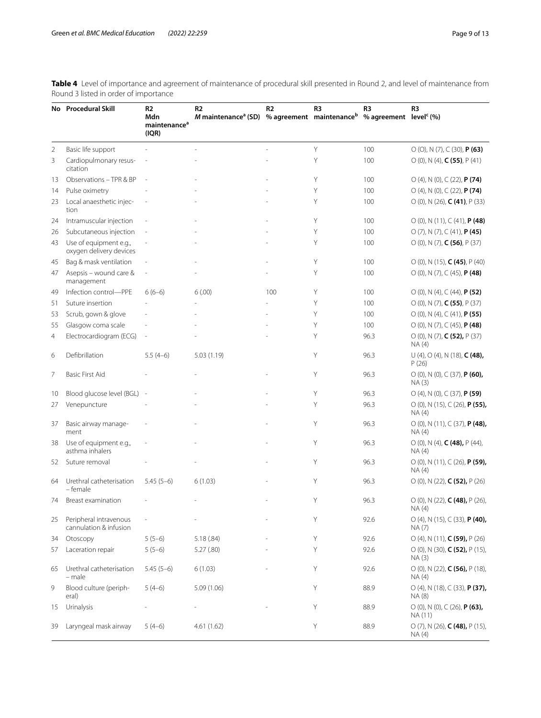<span id="page-8-0"></span>**Table 4** Level of importance and agreement of maintenance of procedural skill presented in Round 2, and level of maintenance from Round 3 listed in order of importance

|    | No Procedural Skill                               | R <sub>2</sub><br>Mdn<br>maintenance <sup>a</sup><br>(IQR) | R <sub>2</sub><br>M maintenance <sup>a</sup> (SD) | R <sub>2</sub> | R <sub>3</sub><br>% agreement maintenance <sup>b</sup> | R3<br>% agreement level <sup>c</sup> (%) | R <sub>3</sub>                                                      |
|----|---------------------------------------------------|------------------------------------------------------------|---------------------------------------------------|----------------|--------------------------------------------------------|------------------------------------------|---------------------------------------------------------------------|
| 2  | Basic life support                                |                                                            |                                                   |                | Y                                                      | 100                                      | $O(O)$ , N $(7)$ , C $(30)$ , <b>P (63)</b>                         |
| 3  | Cardiopulmonary resus-<br>citation                |                                                            |                                                   |                | Y                                                      | 100                                      | $O(0)$ , N (4), <b>C (55)</b> , P (41)                              |
| 13 | Observations - TPR & BP                           | $\overline{a}$                                             |                                                   |                | Y                                                      | 100                                      | $O(4)$ , N $(0)$ , C $(22)$ , <b>P<math>(74)</math></b>             |
| 14 | Pulse oximetry                                    |                                                            |                                                   |                | Y                                                      | 100                                      | $O(4)$ , N $(0)$ , C $(22)$ , <b>P (74)</b>                         |
| 23 | Local anaesthetic injec-<br>tion                  |                                                            |                                                   |                | Y                                                      | 100                                      | $O(0)$ , N (26), <b>C (41)</b> , P (33)                             |
| 24 | Intramuscular injection                           |                                                            |                                                   |                | Y                                                      | 100                                      | $O(0)$ , N (11), C (41), <b>P (48)</b>                              |
| 26 | Subcutaneous injection                            |                                                            |                                                   |                | Y                                                      | 100                                      | $O(7)$ , N $(7)$ , C $(41)$ , <b>P (45)</b>                         |
| 43 | Use of equipment e.g.,<br>oxygen delivery devices |                                                            |                                                   |                | Υ                                                      | 100                                      | $O(0)$ , N (7), <b>C (56)</b> , P (37)                              |
| 45 | Bag & mask ventilation                            |                                                            |                                                   |                | Y                                                      | 100                                      | $O(0)$ , N (15), <b>C (45)</b> , P (40)                             |
| 47 | Asepsis - wound care &<br>management              | L,                                                         |                                                   |                | Y                                                      | 100                                      | $O(0)$ , N $(7)$ , C $(45)$ , <b>P <math>(48)</math></b>            |
| 49 | Infection control-PPE                             | $6(6-6)$                                                   | 6(.00)                                            | 100            | Υ                                                      | 100                                      | $O(0)$ , N (4), C (44), <b>P (52)</b>                               |
| 51 | Suture insertion                                  |                                                            |                                                   |                | Y                                                      | 100                                      | $O(0)$ , N (7), <b>C (55)</b> , P (37)                              |
| 53 | Scrub, gown & glove                               |                                                            |                                                   |                | Y                                                      | 100                                      | $O(0)$ , N (4), C (41), <b>P (55)</b>                               |
| 55 | Glasgow coma scale                                |                                                            |                                                   |                | Y                                                      | 100                                      | $O(0)$ , N $(7)$ , C $(45)$ , <b>P (48)</b>                         |
| 4  | Electrocardiogram (ECG)                           | $\frac{1}{2}$                                              |                                                   |                | Y                                                      | 96.3                                     | $O(0)$ , N (7), <b>C (52),</b> P (37)<br>NA (4)                     |
| 6  | Defibrillation                                    | $5.5(4-6)$                                                 | 5.03(1.19)                                        |                | Y                                                      | 96.3                                     | $U(4)$ , O (4), N (18), <b>C (48),</b><br>P(26)                     |
| 7  | Basic First Aid                                   |                                                            |                                                   |                | Y                                                      | 96.3                                     | $O(0)$ , N $(0)$ , C $(37)$ , <b>P<math>(60)</math>,</b><br>NA (3)  |
| 10 | Blood glucose level (BGL)                         |                                                            |                                                   |                | Y                                                      | 96.3                                     | $O(4)$ , N $(0)$ , C $(37)$ , <b>P<math>(59)</math></b>             |
| 27 | Venepuncture                                      |                                                            |                                                   |                | Y                                                      | 96.3                                     | $O(0)$ , N (15), C (26), <b>P (55),</b><br>NA(4)                    |
| 37 | Basic airway manage-<br>ment                      |                                                            |                                                   |                | Y                                                      | 96.3                                     | $O(0)$ , N (11), C (37), <b>P (48),</b><br>NA(4)                    |
| 38 | Use of equipment e.g.,<br>asthma inhalers         |                                                            |                                                   |                | Y                                                      | 96.3                                     | $O(0)$ , N (4), <b>C (48),</b> P (44),<br>NA (4)                    |
| 52 | Suture removal                                    |                                                            |                                                   |                | Y                                                      | 96.3                                     | $O(0)$ , N (11), C (26), <b>P (59),</b><br>NA (4)                   |
| 64 | Urethral catheterisation<br>- female              | $5.45(5-6)$                                                | 6(1.03)                                           |                | Y                                                      | 96.3                                     | $O(0)$ , N (22), <b>C (52),</b> P (26)                              |
| 74 | Breast examination                                |                                                            |                                                   |                | Y                                                      | 96.3                                     | $O$ (0), N (22), <b>C (48),</b> P (26),<br>NA (4)                   |
| 25 | Peripheral intravenous<br>cannulation & infusion  |                                                            |                                                   |                | Υ                                                      | 92.6                                     | $O(4)$ , N (15), C (33), <b>P (40),</b><br>NA(7)                    |
| 34 | Otoscopy                                          | $5(5-6)$                                                   | 5.18(.84)                                         |                | Y                                                      | 92.6                                     | $O(4)$ , N (11), <b>C (59),</b> P (26)                              |
| 57 | Laceration repair                                 | $5(5-6)$                                                   | 5.27 (.80)                                        |                | Y                                                      | 92.6                                     | $O$ (0), N (30), <b>C (52),</b> P (15),<br>NA (3)                   |
| 65 | Urethral catheterisation<br>- male                | $5.45(5-6)$                                                | 6(1.03)                                           |                | Y                                                      | 92.6                                     | $O(0)$ , N (22), <b>C (56),</b> P (18),<br>NA(4)                    |
| 9  | Blood culture (periph-<br>eral)                   | $5(4-6)$                                                   | 5.09(1.06)                                        |                | Υ                                                      | 88.9                                     | $O(4)$ , N (18), C (33), <b>P (37),</b><br>NA (8)                   |
| 15 | Urinalysis                                        |                                                            |                                                   |                | Υ                                                      | 88.9                                     | $O(0)$ , N $(0)$ , C $(26)$ , <b>P<math>(63)</math>,</b><br>NA (11) |
| 39 | Laryngeal mask airway                             | $5(4-6)$                                                   | 4.61(1.62)                                        |                | Υ                                                      | 88.9                                     | $O(7)$ , N (26), <b>C (48),</b> P (15),<br>NA (4)                   |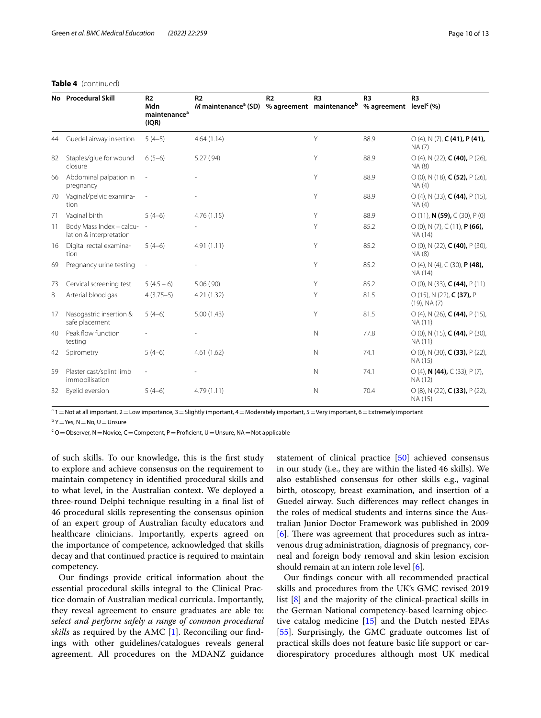# **Table 4** (continued)

|    | No Procedural Skill                                 | R <sub>2</sub><br>Mdn<br>maintenance <sup>a</sup><br>(IQR) | R <sub>2</sub><br>M maintenance <sup>a</sup> (SD) | R <sub>2</sub> | R <sub>3</sub><br>% agreement maintenance % agreement level (%) | R <sub>3</sub> | R <sub>3</sub>                                                       |
|----|-----------------------------------------------------|------------------------------------------------------------|---------------------------------------------------|----------------|-----------------------------------------------------------------|----------------|----------------------------------------------------------------------|
| 44 | Guedel airway insertion                             | $5(4-5)$                                                   | 4.64(1.14)                                        |                | Y                                                               | 88.9           | $O(4)$ , N $(7)$ , C $(41)$ , P $(41)$ ,<br>NA (7)                   |
| 82 | Staples/glue for wound<br>closure                   | $6(5-6)$                                                   | 5.27 (.94)                                        |                | Y                                                               | 88.9           | $O(4)$ , N (22), <b>C (40),</b> P (26),<br>NA (8)                    |
| 66 | Abdominal palpation in<br>pregnancy                 |                                                            |                                                   |                | Y                                                               | 88.9           | $O(0)$ , N (18), <b>C (52),</b> P (26),<br>NA(4)                     |
| 70 | Vaginal/pelvic examina-<br>tion                     |                                                            |                                                   |                | Υ                                                               | 88.9           | $O(4)$ , N (33), <b>C (44),</b> P (15),<br>NA(4)                     |
| 71 | Vaginal birth                                       | $5(4-6)$                                                   | 4.76(1.15)                                        |                | Υ                                                               | 88.9           | $O(11)$ , <b>N (59),</b> $C(30)$ , $P(0)$                            |
| 11 | Body Mass Index - calcu-<br>lation & interpretation |                                                            |                                                   |                | Υ                                                               | 85.2           | $O(0)$ , N $(7)$ , C $(11)$ , <b>P (66),</b><br>NA (14)              |
| 16 | Digital rectal examina-<br>tion                     | $5(4-6)$                                                   | 4.91(1.11)                                        |                | Y                                                               | 85.2           | $O(0)$ , N (22), <b>C (40),</b> P (30),<br>NA (8)                    |
| 69 | Pregnancy urine testing                             |                                                            |                                                   |                | Y                                                               | 85.2           | $O(4)$ , N $(4)$ , C $(30)$ , <b>P <math>(48)</math>,</b><br>NA (14) |
| 73 | Cervical screening test                             | $5(4.5-6)$                                                 | 5.06(.90)                                         |                | Υ                                                               | 85.2           | $O(0)$ , N (33), <b>C (44),</b> P (11)                               |
| 8  | Arterial blood gas                                  | $4(3.75-5)$                                                | 4.21(1.32)                                        |                | Υ                                                               | 81.5           | $O(15)$ , N (22), <b>C (37),</b> P<br>$(19)$ , NA $(7)$              |
| 17 | Nasogastric insertion &<br>safe placement           | $5(4-6)$                                                   | 5.00(1.43)                                        |                | Y                                                               | 81.5           | $O(4)$ , N (26), <b>C (44),</b> P (15),<br>NA (11)                   |
| 40 | Peak flow function<br>testing                       |                                                            |                                                   |                | $\mathsf{N}$                                                    | 77.8           | $O(0)$ , N (15), <b>C (44),</b> P (30),<br>NA (11)                   |
| 42 | Spirometry                                          | $5(4-6)$                                                   | 4.61(1.62)                                        |                | $\mathsf{N}$                                                    | 74.1           | $O(0)$ , N (30), <b>C (33),</b> P (22),<br>NA (15)                   |
| 59 | Plaster cast/splint limb<br>immobilisation          |                                                            |                                                   |                | $\mathsf{N}$                                                    | 74.1           | $O(4)$ , N (44), C (33), P (7),<br>NA (12)                           |
| 32 | Eyelid eversion                                     | $5(4-6)$                                                   | 4.79(1.11)                                        |                | $\mathsf{N}$                                                    | 70.4           | $O(8)$ , N (22), <b>C (33),</b> P (22),<br>NA (15)                   |

<sup>a</sup> 1 = Not at all important, 2 = Low importance, 3 = Slightly important, 4 = Moderately important, 5 = Very important, 6 = Extremely important

<sup>b</sup> Y = Yes, N = No, U = Unsure

<sup>c</sup> O = Observer, N = Novice, C = Competent, P = Proficient, U = Unsure, NA = Not applicable

of such skills. To our knowledge, this is the frst study to explore and achieve consensus on the requirement to maintain competency in identifed procedural skills and to what level, in the Australian context. We deployed a three-round Delphi technique resulting in a fnal list of 46 procedural skills representing the consensus opinion of an expert group of Australian faculty educators and healthcare clinicians. Importantly, experts agreed on the importance of competence, acknowledged that skills decay and that continued practice is required to maintain competency.

Our fndings provide critical information about the essential procedural skills integral to the Clinical Practice domain of Australian medical curricula. Importantly, they reveal agreement to ensure graduates are able to: *select and perform safely a range of common procedural skills* as required by the AMC [\[1](#page-11-0)]. Reconciling our fndings with other guidelines/catalogues reveals general agreement. All procedures on the MDANZ guidance statement of clinical practice [\[50\]](#page-12-10) achieved consensus in our study (i.e., they are within the listed 46 skills). We also established consensus for other skills e.g., vaginal birth, otoscopy, breast examination, and insertion of a Guedel airway. Such diferences may refect changes in the roles of medical students and interns since the Australian Junior Doctor Framework was published in 2009 [[6\]](#page-11-4). There was agreement that procedures such as intravenous drug administration, diagnosis of pregnancy, corneal and foreign body removal and skin lesion excision should remain at an intern role level [\[6](#page-11-4)].

Our fndings concur with all recommended practical skills and procedures from the UK's GMC revised 2019 list [[8](#page-11-6)] and the majority of the clinical-practical skills in the German National competency-based learning objective catalog medicine [\[15](#page-11-13)] and the Dutch nested EPAs [[55\]](#page-12-15). Surprisingly, the GMC graduate outcomes list of practical skills does not feature basic life support or cardiorespiratory procedures although most UK medical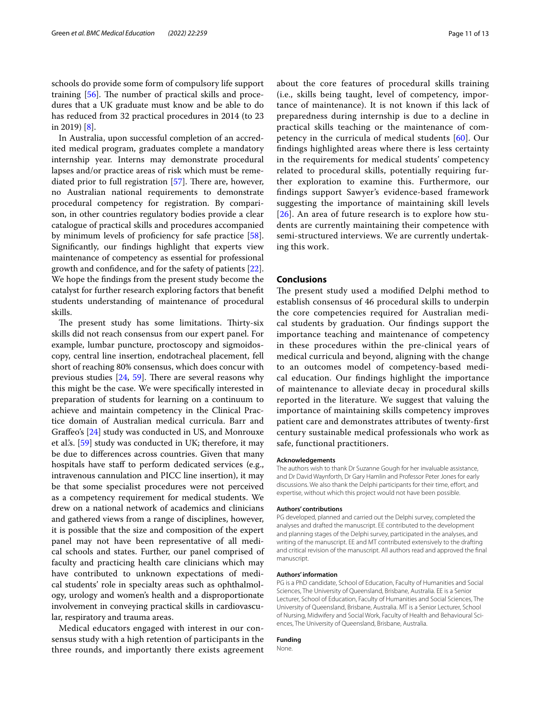schools do provide some form of compulsory life support training  $[56]$  $[56]$ . The number of practical skills and procedures that a UK graduate must know and be able to do has reduced from 32 practical procedures in 2014 (to 23 in 2019) [\[8](#page-11-6)].

In Australia, upon successful completion of an accredited medical program, graduates complete a mandatory internship year. Interns may demonstrate procedural lapses and/or practice areas of risk which must be remediated prior to full registration  $[57]$  $[57]$ . There are, however, no Australian national requirements to demonstrate procedural competency for registration. By comparison, in other countries regulatory bodies provide a clear catalogue of practical skills and procedures accompanied by minimum levels of proficiency for safe practice [\[58](#page-12-18)]. Signifcantly, our fndings highlight that experts view maintenance of competency as essential for professional growth and confdence, and for the safety of patients [\[22](#page-11-18)]. We hope the fndings from the present study become the catalyst for further research exploring factors that beneft students understanding of maintenance of procedural skills.

The present study has some limitations. Thirty-six skills did not reach consensus from our expert panel. For example, lumbar puncture, proctoscopy and sigmoidoscopy, central line insertion, endotracheal placement, fell short of reaching 80% consensus, which does concur with previous studies  $[24, 59]$  $[24, 59]$  $[24, 59]$ . There are several reasons why this might be the case. We were specifcally interested in preparation of students for learning on a continuum to achieve and maintain competency in the Clinical Practice domain of Australian medical curricula. Barr and Grafeo's [\[24](#page-11-20)] study was conducted in US, and Monrouxe et al.'s. [[59](#page-12-19)] study was conducted in UK; therefore, it may be due to diferences across countries. Given that many hospitals have staff to perform dedicated services (e.g., intravenous cannulation and PICC line insertion), it may be that some specialist procedures were not perceived as a competency requirement for medical students. We drew on a national network of academics and clinicians and gathered views from a range of disciplines, however, it is possible that the size and composition of the expert panel may not have been representative of all medical schools and states. Further, our panel comprised of faculty and practicing health care clinicians which may have contributed to unknown expectations of medical students' role in specialty areas such as ophthalmology, urology and women's health and a disproportionate involvement in conveying practical skills in cardiovascular, respiratory and trauma areas.

Medical educators engaged with interest in our consensus study with a high retention of participants in the three rounds, and importantly there exists agreement about the core features of procedural skills training (i.e., skills being taught, level of competency, importance of maintenance). It is not known if this lack of preparedness during internship is due to a decline in practical skills teaching or the maintenance of competency in the curricula of medical students [\[60](#page-12-20)]. Our fndings highlighted areas where there is less certainty in the requirements for medical students' competency related to procedural skills, potentially requiring further exploration to examine this. Furthermore, our fndings support Sawyer's evidence-based framework suggesting the importance of maintaining skill levels [[26](#page-11-22)]. An area of future research is to explore how students are currently maintaining their competence with semi-structured interviews. We are currently undertaking this work.

#### **Conclusions**

The present study used a modified Delphi method to establish consensus of 46 procedural skills to underpin the core competencies required for Australian medical students by graduation. Our fndings support the importance teaching and maintenance of competency in these procedures within the pre-clinical years of medical curricula and beyond, aligning with the change to an outcomes model of competency-based medical education. Our fndings highlight the importance of maintenance to alleviate decay in procedural skills reported in the literature. We suggest that valuing the importance of maintaining skills competency improves patient care and demonstrates attributes of twenty-frst century sustainable medical professionals who work as safe, functional practitioners.

#### **Acknowledgements**

The authors wish to thank Dr Suzanne Gough for her invaluable assistance, and Dr David Waynforth, Dr Gary Hamlin and Professor Peter Jones for early discussions. We also thank the Delphi participants for their time, effort, and expertise, without which this project would not have been possible.

#### **Authors' contributions**

PG developed, planned and carried out the Delphi survey, completed the analyses and drafted the manuscript. EE contributed to the development and planning stages of the Delphi survey, participated in the analyses, and writing of the manuscript. EE and MT contributed extensively to the drafting and critical revision of the manuscript. All authors read and approved the fnal manuscript.

#### **Authors' information**

PG is a PhD candidate, School of Education, Faculty of Humanities and Social Sciences, The University of Queensland, Brisbane, Australia. EE is a Senior Lecturer, School of Education, Faculty of Humanities and Social Sciences, The University of Queensland, Brisbane, Australia. MT is a Senior Lecturer, School of Nursing, Midwifery and Social Work, Faculty of Health and Behavioural Sciences, The University of Queensland, Brisbane, Australia.

#### **Funding**

None.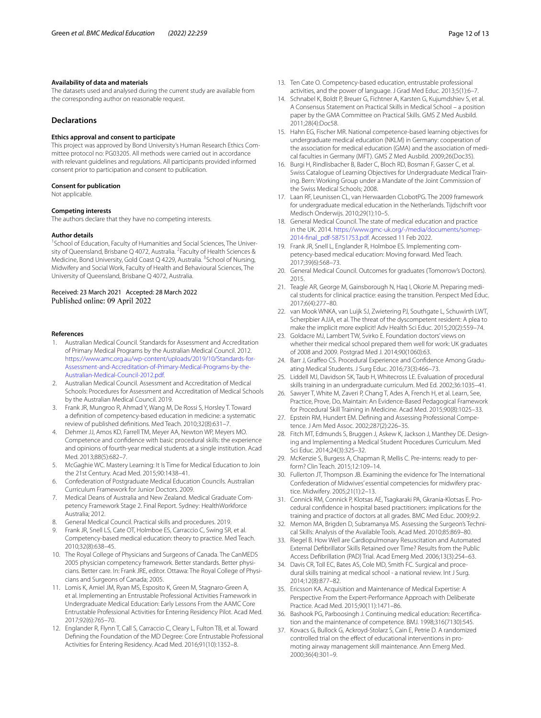#### **Availability of data and materials**

The datasets used and analysed during the current study are available from the corresponding author on reasonable request.

# **Declarations**

#### **Ethics approval and consent to participate**

This project was approved by Bond University's Human Research Ethics Committee protocol no: PG03205. All methods were carried out in accordance with relevant guidelines and regulations. All participants provided informed consent prior to participation and consent to publication.

#### **Consent for publication**

Not applicable.

#### **Competing interests**

The authors declare that they have no competing interests.

#### **Author details**

<sup>1</sup> School of Education, Faculty of Humanities and Social Sciences, The University of Queensland, Brisbane Q 4072, Australia. <sup>2</sup> Faculty of Health Sciences & Medicine, Bond University, Gold Coast Q 4229, Australia. <sup>3</sup> School of Nursing, Midwifery and Social Work, Faculty of Health and Behavioural Sciences, The University of Queensland, Brisbane Q 4072, Australia.

### Received: 23 March 2021 Accepted: 28 March 2022 Published online: 09 April 2022

#### **References**

- <span id="page-11-0"></span>1. Australian Medical Council. Standards for Assessment and Accreditation of Primary Medical Programs by the Australian Medical Council. 2012. [https://www.amc.org.au/wp-content/uploads/2019/10/Standards-for-](https://www.amc.org.au/wp-content/uploads/2019/10/Standards-for-Assessment-and-Accreditation-of-Primary-Medical-Programs-by-the-Australian-Medical-Council-2012.pdf)[Assessment-and-Accreditation-of-Primary-Medical-Programs-by-the-](https://www.amc.org.au/wp-content/uploads/2019/10/Standards-for-Assessment-and-Accreditation-of-Primary-Medical-Programs-by-the-Australian-Medical-Council-2012.pdf)[Australian-Medical-Council-2012.pdf](https://www.amc.org.au/wp-content/uploads/2019/10/Standards-for-Assessment-and-Accreditation-of-Primary-Medical-Programs-by-the-Australian-Medical-Council-2012.pdf).
- <span id="page-11-1"></span>2. Australian Medical Council. Assessment and Accreditation of Medical Schools: Procedures for Assessment and Accreditation of Medical Schools by the Australian Medical Council. 2019.
- <span id="page-11-2"></span>3. Frank JR, Mungroo R, Ahmad Y, Wang M, De Rossi S, Horsley T. Toward a defnition of competency-based education in medicine: a systematic review of published defnitions. Med Teach. 2010;32(8):631–7.
- 4. Dehmer JJ, Amos KD, Farrell TM, Meyer AA, Newton WP, Meyers MO. Competence and confdence with basic procedural skills: the experience and opinions of fourth-year medical students at a single institution. Acad Med. 2013;88(5):682–7.
- <span id="page-11-3"></span>5. McGaghie WC. Mastery Learning: It Is Time for Medical Education to Join the 21st Century. Acad Med. 2015;90:1438–41.
- <span id="page-11-4"></span>6. Confederation of Postgraduate Medical Education Councils. Australian Curriculum Framework for Junior Doctors. 2009.
- <span id="page-11-5"></span>7. Medical Deans of Australia and New Zealand. Medical Graduate Competency Framework Stage 2. Final Report. Sydney: HealthWorkforce Australia; 2012.
- <span id="page-11-6"></span>8. General Medical Council. Practical skills and procedures. 2019.
- <span id="page-11-7"></span>9. Frank JR, Snell LS, Cate OT, Holmboe ES, Carraccio C, Swing SR, et al. Competency-based medical education: theory to practice. Med Teach. 2010;32(8):638–45.
- <span id="page-11-8"></span>10. The Royal College of Physicians and Surgeons of Canada. The CanMEDS 2005 physician competency framework. Better standards. Better physicians. Better care. In: Frank JRE, editor. Ottawa: The Royal College of Physicians and Surgeons of Canada; 2005.
- <span id="page-11-9"></span>11. Lomis K, Amiel JM, Ryan MS, Esposito K, Green M, Stagnaro-Green A, et al. Implementing an Entrustable Professional Activities Framework in Undergraduate Medical Education: Early Lessons From the AAMC Core Entrustable Professional Activities for Entering Residency Pilot. Acad Med. 2017;92(6):765–70.
- <span id="page-11-10"></span>12. Englander R, Flynn T, Call S, Carraccio C, Cleary L, Fulton TB, et al. Toward Defning the Foundation of the MD Degree: Core Entrustable Professional Activities for Entering Residency. Acad Med. 2016;91(10):1352–8.
- <span id="page-11-11"></span>13. Ten Cate O. Competency-based education, entrustable professional activities, and the power of language. J Grad Med Educ. 2013;5(1):6–7.
- <span id="page-11-12"></span>14. Schnabel K, Boldt P, Breuer G, Fichtner A, Karsten G, Kujumdshiev S, et al. A Consensus Statement on Practical Skills in Medical School – a position paper by the GMA Committee on Practical Skills. GMS Z Med Ausbild. 2011;28(4):Doc58.
- <span id="page-11-13"></span>15. Hahn EG, Fischer MR. National competence-based learning objectives for undergraduate medical education (NKLM) in Germany: cooperation of the association for medical education (GMA) and the association of medical faculties in Germany (MFT). GMS Z Med Ausbild. 2009;26(Doc35).
- <span id="page-11-14"></span>16. Burgi H, Rindlisbacher B, Bader C, Bloch RD, Bosman F, Gasser C, et al. Swiss Catalogue of Learning Objectives for Undergraduate Medical Training. Bern: Working Group under a Mandate of the Joint Commission of the Swiss Medical Schools; 2008.
- <span id="page-11-15"></span>17. Laan RF, Leunissen CL, van Herwaarden CLobotPG. The 2009 framework for undergraduate medical education in the Netherlands. Tijdschrift voor Medisch Onderwijs. 2010;29(1):10–5.
- <span id="page-11-16"></span>18. General Medical Council. The state of medical education and practice in the UK. 2014. [https://www.gmc-uk.org/-/media/documents/somep-](https://www.gmc-uk.org/-/media/documents/somep-2014-final_pdf-58751753.pdf)[2014-fnal\\_pdf-58751753.pdf.](https://www.gmc-uk.org/-/media/documents/somep-2014-final_pdf-58751753.pdf) Accessed 11 Feb 2022.
- 19. Frank JR, Snell L, Englander R, Holmboe ES. Implementing competency-based medical education: Moving forward. Med Teach. 2017;39(6):568–73.
- 20. General Medical Council. Outcomes for graduates (Tomorrow's Doctors). 2015.
- <span id="page-11-17"></span>21. Teagle AR, George M, Gainsborough N, Haq I, Okorie M. Preparing medical students for clinical practice: easing the transition. Perspect Med Educ. 2017;6(4):277–80.
- <span id="page-11-18"></span>22. van Mook WNKA, van Luijk SJ, Zwietering PJ, Southgate L, Schuwirth LWT, Scherpbier AJJA, et al. The threat of the dyscompetent resident: A plea to make the implicit more explicit! Adv Health Sci Educ. 2015;20(2):559–74.
- <span id="page-11-19"></span>23. Goldacre MJ, Lambert TW, Svirko E. Foundation doctors' views on whether their medical school prepared them well for work: UK graduates of 2008 and 2009. Postgrad Med J. 2014;90(1060):63.
- <span id="page-11-20"></span>24. Barr J, Grafeo CS. Procedural Experience and Confdence Among Graduating Medical Students. J Surg Educ. 2016;73(3):466–73.
- <span id="page-11-21"></span>25. Liddell MJ, Davidson SK, Taub H, Whitecross LE. Evaluation of procedural skills training in an undergraduate curriculum. Med Ed. 2002;36:1035–41.
- <span id="page-11-22"></span>26. Sawyer T, White M, Zaveri P, Chang T, Ades A, French H, et al. Learn, See, Practice, Prove, Do, Maintain: An Evidence-Based Pedagogical Framework for Procedural Skill Training in Medicine. Acad Med. 2015;90(8):1025–33.
- <span id="page-11-23"></span>27. Epstein RM, Hundert EM. Defning and Assessing Professional Competence. J Am Med Assoc. 2002;287(2):226–35.
- <span id="page-11-24"></span>28. Fitch MT, Edmunds S, Bruggen J, Askew K, Jackson J, Manthey DE. Designing and Implementing a Medical Student Procedures Curriculum. Med Sci Educ. 2014;24(3):325–32.
- <span id="page-11-25"></span>29. McKenzie S, Burgess A, Chapman R, Mellis C. Pre-interns: ready to perform? Clin Teach. 2015;12:109–14.
- <span id="page-11-26"></span>30. Fullerton JT, Thompson JB. Examining the evidence for The International Confederation of Midwives' essential competencies for midwifery practice. Midwifery. 2005;21(1):2–13.
- <span id="page-11-27"></span>31. Connick RM, Connick P, Klotsas AE, Tsagkaraki PA, Gkrania-Klotsas E. Procedural confdence in hospital based practitioners: implications for the training and practice of doctors at all grades. BMC Med Educ. 2009;9:2.
- 32. Memon MA, Brigden D, Subramanya MS. Assessing the Surgeon's Technical Skills: Analysis of the Available Tools. Acad Med. 2010;85:869–80.
- <span id="page-11-28"></span>33. Riegel B. How Well are Cardiopulmonary Resuscitation and Automated External Defbrillator Skills Retained over Time? Results from the Public Access Defbrillation (PAD) Trial. Acad Emerg Med. 2006;13(3):254–63.
- <span id="page-11-29"></span>34. Davis CR, Toll EC, Bates AS, Cole MD, Smith FC. Surgical and procedural skills training at medical school - a national review. Int J Surg. 2014;12(8):877–82.
- <span id="page-11-30"></span>35. Ericsson KA. Acquisition and Maintenance of Medical Expertise: A Perspective From the Expert-Performance Approach with Deliberate Practice. Acad Med. 2015;90(11):1471–86.
- 36. Bashook PG, Parboosingh J. Continuing medical education: Recertifcation and the maintenance of competence. BMJ. 1998;316(7130):545.
- <span id="page-11-31"></span>37. Kovacs G, Bullock G, Ackroyd-Stolarz S, Cain E, Petrie D. A randomized controlled trial on the effect of educational interventions in promoting airway management skill maintenance. Ann Emerg Med. 2000;36(4):301–9.